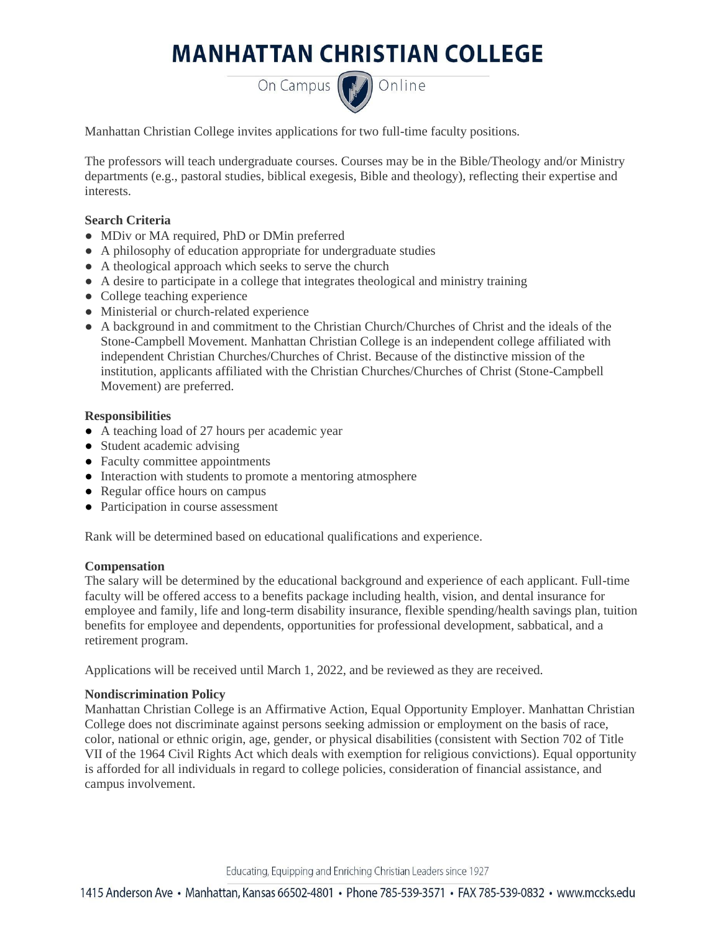# **MANHATTAN CHRISTIAN COLLEGE**

On Campus (D) Online

Manhattan Christian College invites applications for two full-time faculty positions.

The professors will teach undergraduate courses. Courses may be in the Bible/Theology and/or Ministry departments (e.g., pastoral studies, biblical exegesis, Bible and theology), reflecting their expertise and interests.

## **Search Criteria**

- MDiv or MA required, PhD or DMin preferred
- A philosophy of education appropriate for undergraduate studies
- A theological approach which seeks to serve the church
- A desire to participate in a college that integrates theological and ministry training
- College teaching experience
- Ministerial or church-related experience
- A background in and commitment to the Christian Church/Churches of Christ and the ideals of the Stone-Campbell Movement. Manhattan Christian College is an independent college affiliated with independent Christian Churches/Churches of Christ. Because of the distinctive mission of the institution, applicants affiliated with the Christian Churches/Churches of Christ (Stone-Campbell Movement) are preferred.

### **Responsibilities**

- A teaching load of 27 hours per academic year
- Student academic advising
- Faculty committee appointments
- Interaction with students to promote a mentoring atmosphere
- Regular office hours on campus
- Participation in course assessment

Rank will be determined based on educational qualifications and experience.

### **Compensation**

The salary will be determined by the educational background and experience of each applicant. Full-time faculty will be offered access to a benefits package including health, vision, and dental insurance for employee and family, life and long-term disability insurance, flexible spending/health savings plan, tuition benefits for employee and dependents, opportunities for professional development, sabbatical, and a retirement program.

Applications will be received until March 1, 2022, and be reviewed as they are received.

### **Nondiscrimination Policy**

Manhattan Christian College is an Affirmative Action, Equal Opportunity Employer. Manhattan Christian College does not discriminate against persons seeking admission or employment on the basis of race, color, national or ethnic origin, age, gender, or physical disabilities (consistent with Section 702 of Title VII of the 1964 Civil Rights Act which deals with exemption for religious convictions). Equal opportunity is afforded for all individuals in regard to college policies, consideration of financial assistance, and campus involvement.